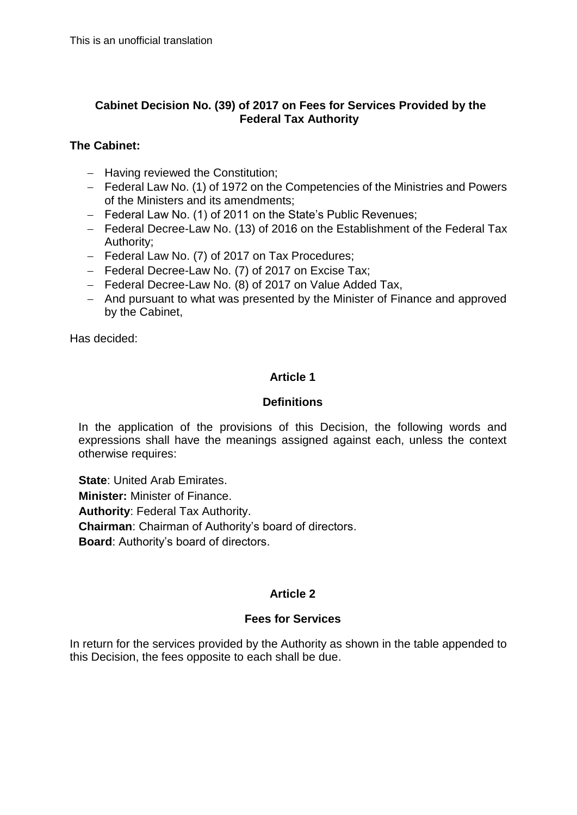## **Cabinet Decision No. (39) of 2017 on Fees for Services Provided by the Federal Tax Authority**

## **The Cabinet:**

- $-$  Having reviewed the Constitution;
- Federal Law No. (1) of 1972 on the Competencies of the Ministries and Powers of the Ministers and its amendments;
- Federal Law No. (1) of 2011 on the State's Public Revenues;
- Federal Decree-Law No. (13) of 2016 on the Establishment of the Federal Tax Authority;
- Federal Law No. (7) of 2017 on Tax Procedures;
- Federal Decree-Law No. (7) of 2017 on Excise Tax;
- Federal Decree-Law No. (8) of 2017 on Value Added Tax,
- And pursuant to what was presented by the Minister of Finance and approved by the Cabinet,

Has decided:

## **Article 1**

## **Definitions**

In the application of the provisions of this Decision, the following words and expressions shall have the meanings assigned against each, unless the context otherwise requires:

**State**: United Arab Emirates. **Minister:** Minister of Finance. **Authority**: Federal Tax Authority. **Chairman**: Chairman of Authority's board of directors. **Board**: Authority's board of directors.

# **Article 2**

# **Fees for Services**

In return for the services provided by the Authority as shown in the table appended to this Decision, the fees opposite to each shall be due.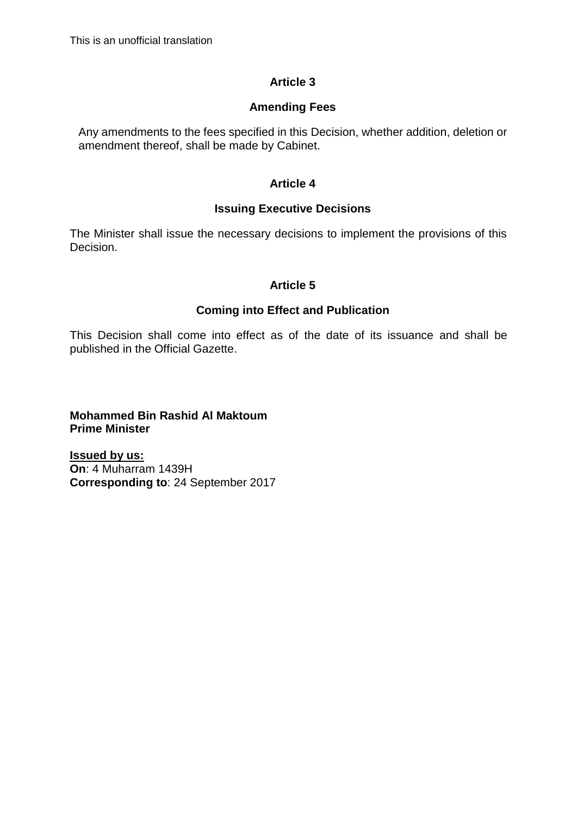## **Article 3**

#### **Amending Fees**

Any amendments to the fees specified in this Decision, whether addition, deletion or amendment thereof, shall be made by Cabinet.

#### **Article 4**

## **Issuing Executive Decisions**

The Minister shall issue the necessary decisions to implement the provisions of this Decision.

#### **Article 5**

#### **Coming into Effect and Publication**

This Decision shall come into effect as of the date of its issuance and shall be published in the Official Gazette.

**Mohammed Bin Rashid Al Maktoum Prime Minister**

**Issued by us: On**: 4 Muharram 1439H **Corresponding to**: 24 September 2017